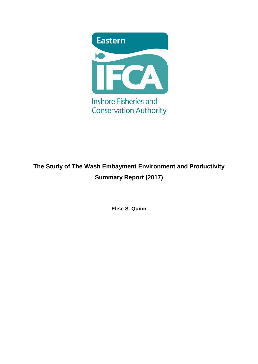

# **The Study of The Wash Embayment Environment and Productivity Summary Report (2017)**

**Elise S. Quinn**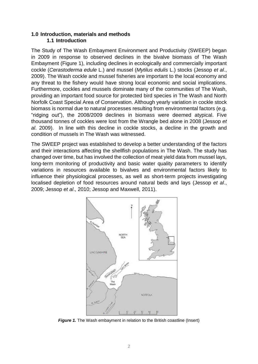# **1.0 Introduction, materials and methods 1.1 Introduction**

The Study of The Wash Embayment Environment and Productivity (SWEEP) began in 2009 in response to observed declines in the bivalve biomass of The Wash Embayment [\(Figure 1\)](#page-1-0), including declines in ecologically and commercially important cockle (*Cerastoderma edule* L.) and mussel (*Mytilus edulis* L.) stocks (Jessop *et al*., 2009). The Wash cockle and mussel fisheries are important to the local economy and any threat to the fishery would have strong local economic and social implications. Furthermore, cockles and mussels dominate many of the communities of The Wash, providing an important food source for protected bird species in The Wash and North Norfolk Coast Special Area of Conservation. Although yearly variation in cockle stock biomass is normal due to natural processes resulting from environmental factors (e.g. "ridging out"), the 2008/2009 declines in biomass were deemed atypical. Five thousand tonnes of cockles were lost from the Wrangle bed alone in 2008 (Jessop *et al*. 2009). In line with this decline in cockle stocks, a decline in the growth and condition of mussels in The Wash was witnessed.

The SWEEP project was established to develop a better understanding of the factors and their interactions affecting the shellfish populations in The Wash. The study has changed over time, but has involved the collection of meat yield data from mussel lays, long-term monitoring of productivity and basic water quality parameters to identify variations in resources available to bivalves and environmental factors likely to influence their physiological processes, as well as short-term projects investigating localised depletion of food resources around natural beds and lays (Jessop *et al*., 2009; Jessop *et al*., 2010; Jessop and Maxwell, 2011).



<span id="page-1-0"></span>**Figure 1.** The Wash embayment in relation to the British coastline (Insert)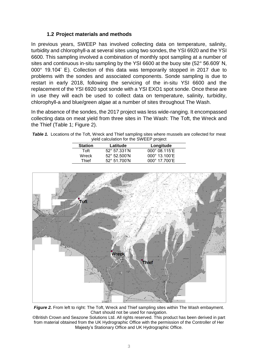# **1.2 Project materials and methods**

In previous years, SWEEP has involved collecting data on temperature, salinity, turbidity and chlorophyll-a at several sites using two sondes, the YSI 6920 and the YSI 6600. This sampling involved a combination of monthly spot sampling at a number of sites and continuous in-situ sampling by the YSI 6600 at the buoy site (52° 56.609' N, 000° 19.104' E). Collection of this data was temporarily stopped in 2017 due to problems with the sondes and associated components. Sonde sampling is due to restart in early 2018, following the servicing of the in-situ YSI 6600 and the replacement of the YSI 6920 spot sonde with a YSI EXO1 spot sonde. Once these are in use they will each be used to collect data on temperature, salinity, turbidity, chlorophyll-a and blue/green algae at a number of sites throughout The Wash.

In the absence of the sondes, the 2017 project was less wide-ranging. It encompassed collecting data on meat yield from three sites in The Wash: The Toft, the Wreck and the Thief [\(Table 1;](#page-2-0) [Figure 2\)](#page-2-1).

<span id="page-2-0"></span>

| Table 1. Locations of the Toft, Wreck and Thief sampling sites where mussels are collected for meat |
|-----------------------------------------------------------------------------------------------------|
| yield calculation for the SWEEP project                                                             |

| <b>Station</b> | Latitude              | Longitude              |  |
|----------------|-----------------------|------------------------|--|
| Toft           | $52^{\circ}$ 57.331'N | $000^{\circ}$ 08.115'E |  |
| Wreck          | $52^{\circ}$ 52.500'N | 000° 13.100'E          |  |
| Thief          | 52° 51.700'N          | $000^{\circ}$ 17.700'E |  |
|                |                       |                        |  |



<span id="page-2-1"></span>*Figure 2.* From left to right: The Toft, Wreck and Thief sampling sites within The Wash embayment. Chart should not be used for navigation.

©British Crown and Seazone Solutions Ltd. All rights reserved. This product has been derived in part from material obtained from the UK Hydrographic Office with the permission of the Controller of Her Majesty's Stationary Office and UK Hydrographic Office.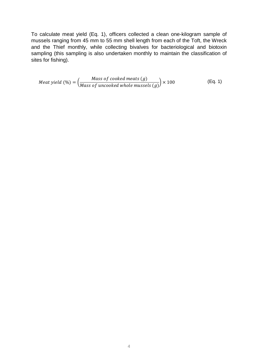To calculate meat yield (Eq. 1), officers collected a clean one-kilogram sample of mussels ranging from 45 mm to 55 mm shell length from each of the Toft, the Wreck and the Thief monthly, while collecting bivalves for bacteriological and biotoxin sampling (this sampling is also undertaken monthly to maintain the classification of sites for fishing).

$$
Meat yield (%) = \left(\frac{Mass\ of\ cooled\ meets\ (g)}{Mass\ of\ uncooked\ whole\ muscles\ (g)}\right) \times 100
$$
 (Eq. 1)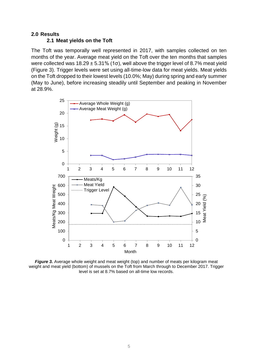#### **2.0 Results**

### **2.1 Meat yields on the Toft**

The Toft was temporally well represented in 2017, with samples collected on ten months of the year. Average meat yield on the Toft over the ten months that samples were collected was  $18.29 \pm 5.31\%$  (1σ), well above the trigger level of 8.7% meat yield [\(Figure 3\)](#page-4-0). Trigger levels were set using all-time-low data for meat yields. Meat yields on the Toft dropped to their lowest levels (10.0%; May) during spring and early summer (May to June), before increasing steadily until September and peaking in November at 28.9%.



<span id="page-4-0"></span>*Figure 3.* Average whole weight and meat weight (top) and number of meats per kilogram meat weight and meat yield (bottom) of mussels on the Toft from March through to December 2017. Trigger level is set at 8.7% based on all-time low records.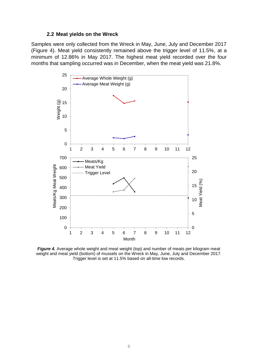#### **2.2 Meat yields on the Wreck**

Samples were only collected from the Wreck in May, June, July and December 2017 [\(Figure 4\)](#page-5-0). Meat yield consistently remained above the trigger level of 11.5%, at a minimum of 12.86% in May 2017. The highest meat yield recorded over the four months that sampling occurred was in December, when the meat yield was 21.8%.



<span id="page-5-0"></span>*Figure 4.* Average whole weight and meat weight (top) and number of meats per kilogram meat weight and meat yield (bottom) of mussels on the Wreck in May, June, July and December 2017. Trigger level is set at 11.5% based on all-time low records.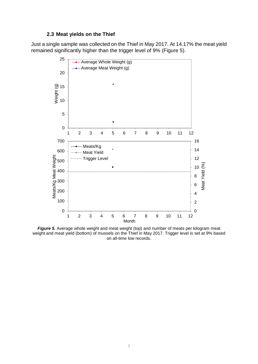# **2.3 Meat yields on the Thief**

Just a single sample was collected on the Thief in May 2017. At 14.17% the meat yield remained significantly higher than the trigger level of 9% [\(Figure 5\)](#page-6-0).



<span id="page-6-0"></span>*Figure 5.* Average whole weight and meat weight (top) and number of meats per kilogram meat weight and meat yield (bottom) of mussels on the Thief in May 2017. Trigger level is set at 9% based on all-time low records.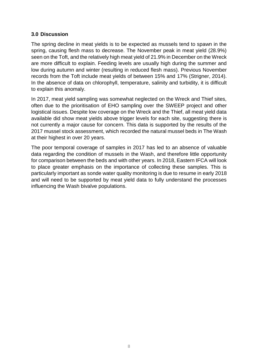## **3.0 Discussion**

The spring decline in meat yields is to be expected as mussels tend to spawn in the spring, causing flesh mass to decrease. The November peak in meat yield (28.9%) seen on the Toft, and the relatively high meat yield of 21.9% in December on the Wreck are more difficult to explain. Feeding levels are usually high during the summer and low during autumn and winter (resulting in reduced flesh mass). Previous November records from the Toft include meat yields of between 15% and 17% (Strigner, 2014). In the absence of data on chlorophyll, temperature, salinity and turbidity, it is difficult to explain this anomaly.

In 2017, meat yield sampling was somewhat neglected on the Wreck and Thief sites, often due to the prioritisation of EHO sampling over the SWEEP project and other logistical issues. Despite low coverage on the Wreck and the Thief, all meat yield data available did show meat yields above trigger levels for each site, suggesting there is not currently a major cause for concern. This data is supported by the results of the 2017 mussel stock assessment, which recorded the natural mussel beds in The Wash at their highest in over 20 years.

The poor temporal coverage of samples in 2017 has led to an absence of valuable data regarding the condition of mussels in the Wash, and therefore little opportunity for comparison between the beds and with other years. In 2018, Eastern IFCA will look to place greater emphasis on the importance of collecting these samples. This is particularly important as sonde water quality monitoring is due to resume in early 2018 and will need to be supported by meat yield data to fully understand the processes influencing the Wash bivalve populations.